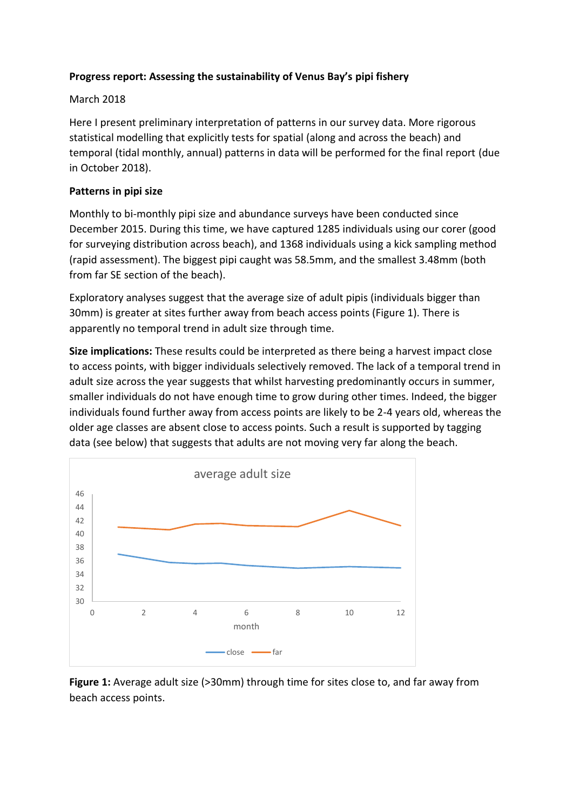# **Progress report: Assessing the sustainability of Venus Bay's pipi fishery**

### March 2018

Here I present preliminary interpretation of patterns in our survey data. More rigorous statistical modelling that explicitly tests for spatial (along and across the beach) and temporal (tidal monthly, annual) patterns in data will be performed for the final report (due in October 2018).

### **Patterns in pipi size**

Monthly to bi-monthly pipi size and abundance surveys have been conducted since December 2015. During this time, we have captured 1285 individuals using our corer (good for surveying distribution across beach), and 1368 individuals using a kick sampling method (rapid assessment). The biggest pipi caught was 58.5mm, and the smallest 3.48mm (both from far SE section of the beach).

Exploratory analyses suggest that the average size of adult pipis (individuals bigger than 30mm) is greater at sites further away from beach access points (Figure 1). There is apparently no temporal trend in adult size through time.

**Size implications:** These results could be interpreted as there being a harvest impact close to access points, with bigger individuals selectively removed. The lack of a temporal trend in adult size across the year suggests that whilst harvesting predominantly occurs in summer, smaller individuals do not have enough time to grow during other times. Indeed, the bigger individuals found further away from access points are likely to be 2-4 years old, whereas the older age classes are absent close to access points. Such a result is supported by tagging data (see below) that suggests that adults are not moving very far along the beach.



**Figure 1:** Average adult size (>30mm) through time for sites close to, and far away from beach access points.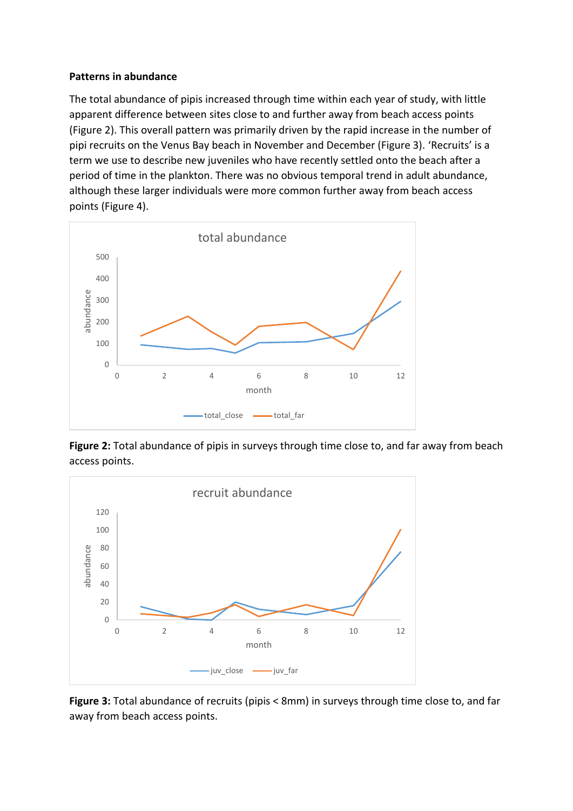#### **Patterns in abundance**

The total abundance of pipis increased through time within each year of study, with little apparent difference between sites close to and further away from beach access points (Figure 2). This overall pattern was primarily driven by the rapid increase in the number of pipi recruits on the Venus Bay beach in November and December (Figure 3). 'Recruits' is a term we use to describe new juveniles who have recently settled onto the beach after a period of time in the plankton. There was no obvious temporal trend in adult abundance, although these larger individuals were more common further away from beach access points (Figure 4).



**Figure 2:** Total abundance of pipis in surveys through time close to, and far away from beach access points.



**Figure 3:** Total abundance of recruits (pipis < 8mm) in surveys through time close to, and far away from beach access points.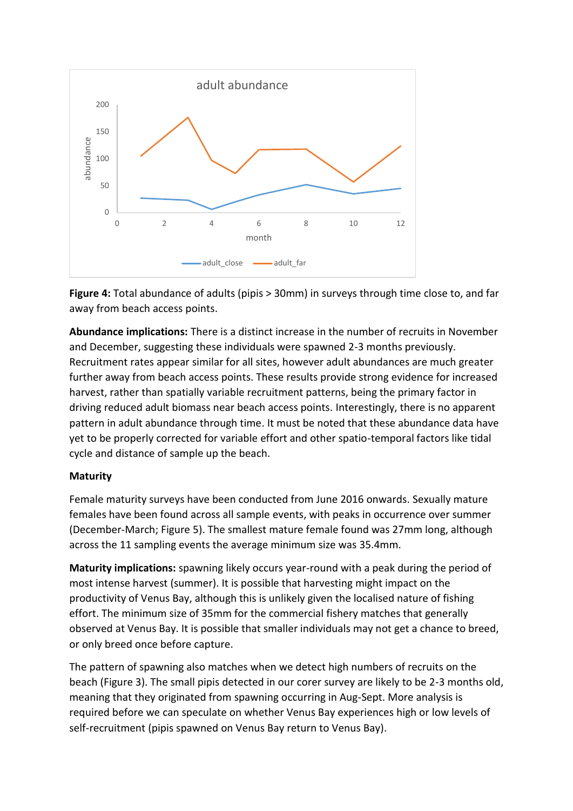

**Figure 4:** Total abundance of adults (pipis > 30mm) in surveys through time close to, and far away from beach access points.

**Abundance implications:** There is a distinct increase in the number of recruits in November and December, suggesting these individuals were spawned 2-3 months previously. Recruitment rates appear similar for all sites, however adult abundances are much greater further away from beach access points. These results provide strong evidence for increased harvest, rather than spatially variable recruitment patterns, being the primary factor in driving reduced adult biomass near beach access points. Interestingly, there is no apparent pattern in adult abundance through time. It must be noted that these abundance data have yet to be properly corrected for variable effort and other spatio-temporal factors like tidal cycle and distance of sample up the beach.

## **Maturity**

Female maturity surveys have been conducted from June 2016 onwards. Sexually mature females have been found across all sample events, with peaks in occurrence over summer (December-March; Figure 5). The smallest mature female found was 27mm long, although across the 11 sampling events the average minimum size was 35.4mm.

**Maturity implications:** spawning likely occurs year-round with a peak during the period of most intense harvest (summer). It is possible that harvesting might impact on the productivity of Venus Bay, although this is unlikely given the localised nature of fishing effort. The minimum size of 35mm for the commercial fishery matches that generally observed at Venus Bay. It is possible that smaller individuals may not get a chance to breed, or only breed once before capture.

The pattern of spawning also matches when we detect high numbers of recruits on the beach (Figure 3). The small pipis detected in our corer survey are likely to be 2-3 months old, meaning that they originated from spawning occurring in Aug-Sept. More analysis is required before we can speculate on whether Venus Bay experiences high or low levels of self-recruitment (pipis spawned on Venus Bay return to Venus Bay).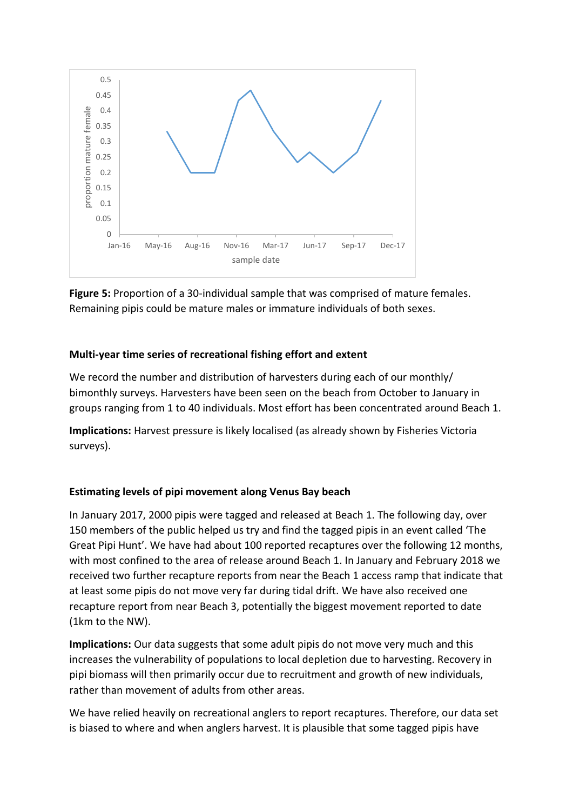

**Figure 5:** Proportion of a 30-individual sample that was comprised of mature females. Remaining pipis could be mature males or immature individuals of both sexes.

# **Multi-year time series of recreational fishing effort and extent**

We record the number and distribution of harvesters during each of our monthly/ bimonthly surveys. Harvesters have been seen on the beach from October to January in groups ranging from 1 to 40 individuals. Most effort has been concentrated around Beach 1.

**Implications:** Harvest pressure is likely localised (as already shown by Fisheries Victoria surveys).

## **Estimating levels of pipi movement along Venus Bay beach**

In January 2017, 2000 pipis were tagged and released at Beach 1. The following day, over 150 members of the public helped us try and find the tagged pipis in an event called 'The Great Pipi Hunt'. We have had about 100 reported recaptures over the following 12 months, with most confined to the area of release around Beach 1. In January and February 2018 we received two further recapture reports from near the Beach 1 access ramp that indicate that at least some pipis do not move very far during tidal drift. We have also received one recapture report from near Beach 3, potentially the biggest movement reported to date (1km to the NW).

**Implications:** Our data suggests that some adult pipis do not move very much and this increases the vulnerability of populations to local depletion due to harvesting. Recovery in pipi biomass will then primarily occur due to recruitment and growth of new individuals, rather than movement of adults from other areas.

We have relied heavily on recreational anglers to report recaptures. Therefore, our data set is biased to where and when anglers harvest. It is plausible that some tagged pipis have